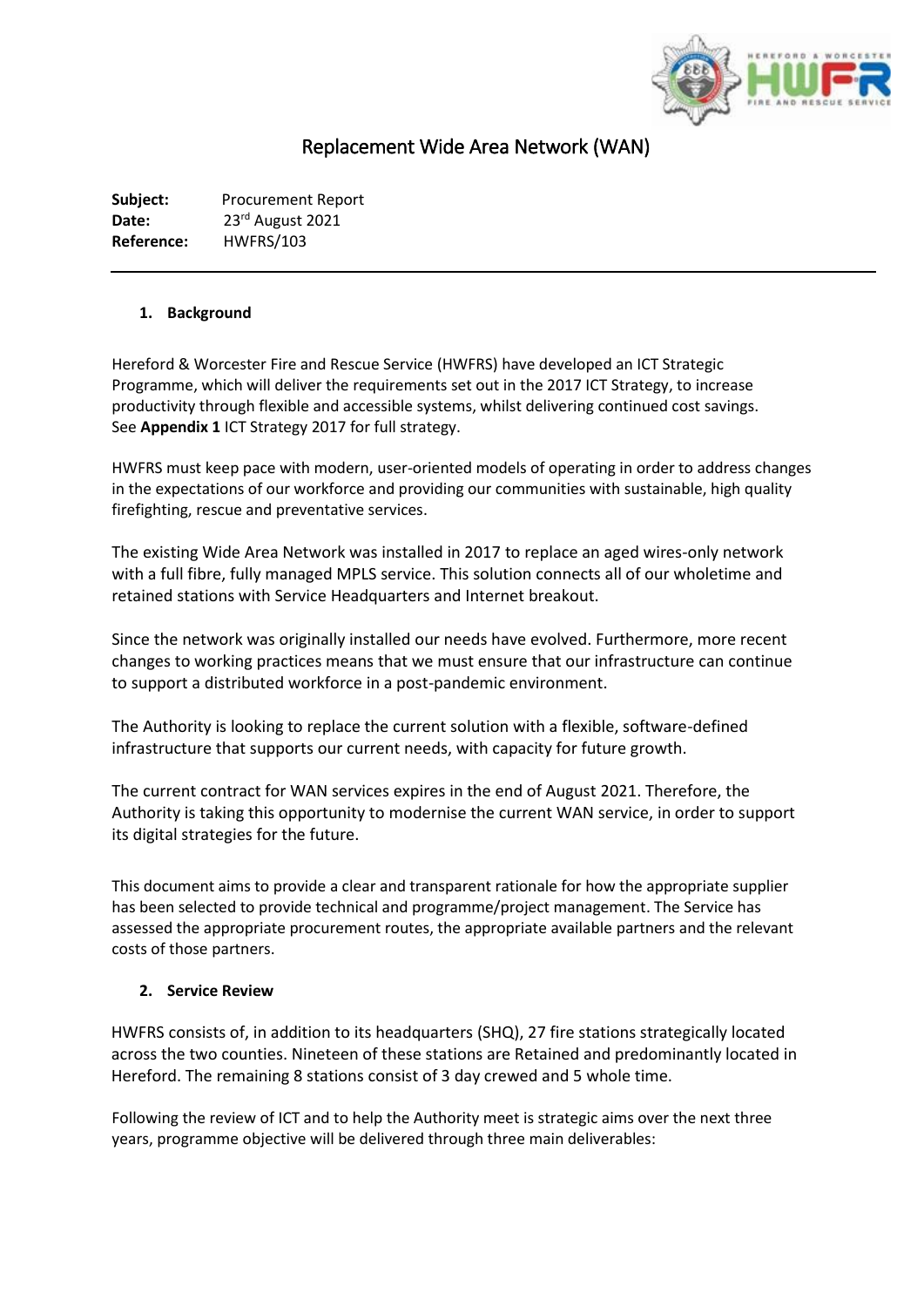

# Replacement Wide Area Network (WAN)

**Subject:** Procurement Report Date: 23<sup>rd</sup> August 2021 **Reference:** HWFRS/103

# **1. Background**

Hereford & Worcester Fire and Rescue Service (HWFRS) have developed an ICT Strategic Programme, which will deliver the requirements set out in the 2017 ICT Strategy, to increase productivity through flexible and accessible systems, whilst delivering continued cost savings. See **Appendix 1** ICT Strategy 2017 for full strategy.

HWFRS must keep pace with modern, user-oriented models of operating in order to address changes in the expectations of our workforce and providing our communities with sustainable, high quality firefighting, rescue and preventative services.

The existing Wide Area Network was installed in 2017 to replace an aged wires-only network with a full fibre, fully managed MPLS service. This solution connects all of our wholetime and retained stations with Service Headquarters and Internet breakout.

Since the network was originally installed our needs have evolved. Furthermore, more recent changes to working practices means that we must ensure that our infrastructure can continue to support a distributed workforce in a post-pandemic environment.

The Authority is looking to replace the current solution with a flexible, software-defined infrastructure that supports our current needs, with capacity for future growth.

The current contract for WAN services expires in the end of August 2021. Therefore, the Authority is taking this opportunity to modernise the current WAN service, in order to support its digital strategies for the future.

This document aims to provide a clear and transparent rationale for how the appropriate supplier has been selected to provide technical and programme/project management. The Service has assessed the appropriate procurement routes, the appropriate available partners and the relevant costs of those partners.

## **2. Service Review**

HWFRS consists of, in addition to its headquarters (SHQ), 27 fire stations strategically located across the two counties. Nineteen of these stations are Retained and predominantly located in Hereford. The remaining 8 stations consist of 3 day crewed and 5 whole time.

Following the review of ICT and to help the Authority meet is strategic aims over the next three years, programme objective will be delivered through three main deliverables: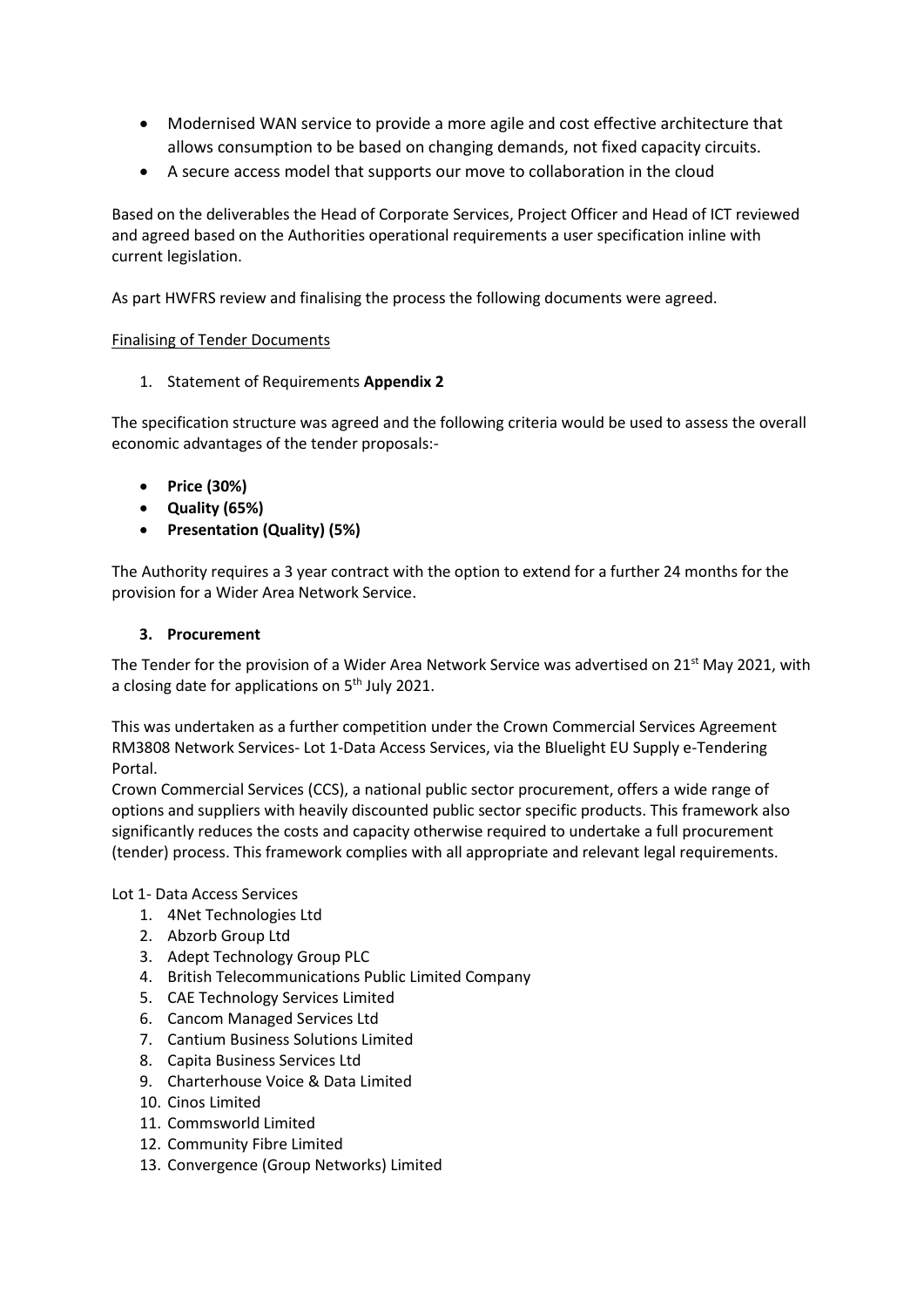- Modernised WAN service to provide a more agile and cost effective architecture that allows consumption to be based on changing demands, not fixed capacity circuits.
- A secure access model that supports our move to collaboration in the cloud

Based on the deliverables the Head of Corporate Services, Project Officer and Head of ICT reviewed and agreed based on the Authorities operational requirements a user specification inline with current legislation.

As part HWFRS review and finalising the process the following documents were agreed.

# Finalising of Tender Documents

1. Statement of Requirements **Appendix 2**

The specification structure was agreed and the following criteria would be used to assess the overall economic advantages of the tender proposals:-

- **Price (30%)**
- **Quality (65%)**
- **Presentation (Quality) (5%)**

The Authority requires a 3 year contract with the option to extend for a further 24 months for the provision for a Wider Area Network Service.

# **3. Procurement**

The Tender for the provision of a Wider Area Network Service was advertised on 21<sup>st</sup> May 2021, with a closing date for applications on 5<sup>th</sup> July 2021.

This was undertaken as a further competition under the Crown Commercial Services Agreement RM3808 Network Services- Lot 1-Data Access Services, via the Bluelight EU Supply e-Tendering Portal.

Crown Commercial Services (CCS), a national public sector procurement, offers a wide range of options and suppliers with heavily discounted public sector specific products. This framework also significantly reduces the costs and capacity otherwise required to undertake a full procurement (tender) process. This framework complies with all appropriate and relevant legal requirements.

Lot 1- Data Access Services

- 1. 4Net Technologies Ltd
- 2. Abzorb Group Ltd
- 3. Adept Technology Group PLC
- 4. British Telecommunications Public Limited Company
- 5. CAE Technology Services Limited
- 6. Cancom Managed Services Ltd
- 7. Cantium Business Solutions Limited
- 8. Capita Business Services Ltd
- 9. Charterhouse Voice & Data Limited
- 10. Cinos Limited
- 11. Commsworld Limited
- 12. Community Fibre Limited
- 13. Convergence (Group Networks) Limited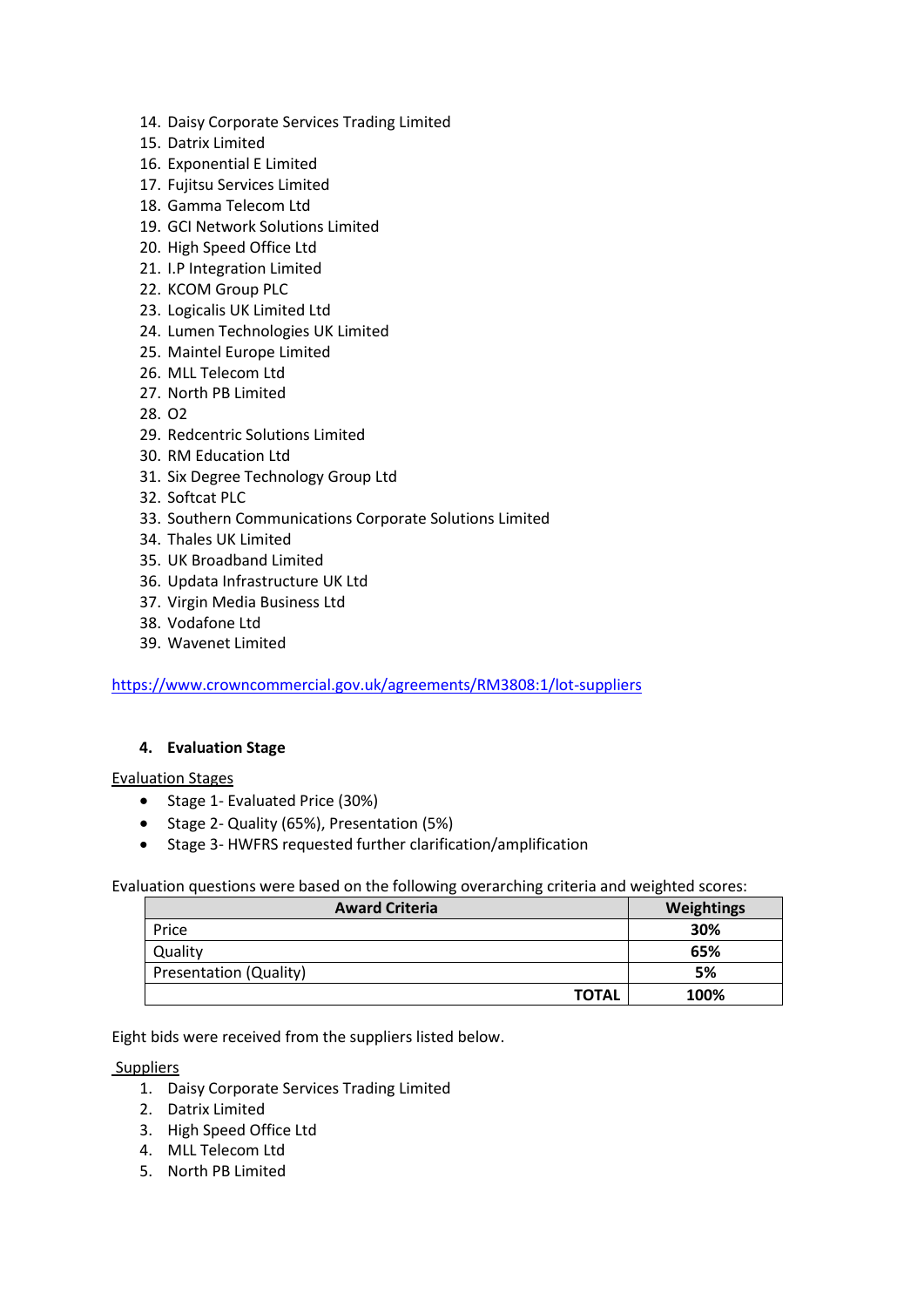- 14. Daisy Corporate Services Trading Limited
- 15. Datrix Limited
- 16. Exponential E Limited
- 17. Fujitsu Services Limited
- 18. Gamma Telecom Ltd
- 19. GCI Network Solutions Limited
- 20. High Speed Office Ltd
- 21. I.P Integration Limited
- 22. KCOM Group PLC
- 23. Logicalis UK Limited Ltd
- 24. Lumen Technologies UK Limited
- 25. Maintel Europe Limited
- 26. MLL Telecom Ltd
- 27. North PB Limited
- 28. O2
- 29. Redcentric Solutions Limited
- 30. RM Education Ltd
- 31. Six Degree Technology Group Ltd
- 32. Softcat PLC
- 33. Southern Communications Corporate Solutions Limited
- 34. Thales UK Limited
- 35. UK Broadband Limited
- 36. Updata Infrastructure UK Ltd
- 37. Virgin Media Business Ltd
- 38. Vodafone Ltd
- 39. Wavenet Limited

<https://www.crowncommercial.gov.uk/agreements/RM3808:1/lot-suppliers>

## **4. Evaluation Stage**

## Evaluation Stages

- Stage 1- Evaluated Price (30%)
- Stage 2- Quality (65%), Presentation (5%)
- Stage 3- HWFRS requested further clarification/amplification

Evaluation questions were based on the following overarching criteria and weighted scores:

| <b>Award Criteria</b>         | Weightings |
|-------------------------------|------------|
| Price                         | 30%        |
| Quality                       | 65%        |
| <b>Presentation (Quality)</b> | 5%         |
| <b>TOTAL</b>                  | 100%       |

Eight bids were received from the suppliers listed below.

#### Suppliers

- 1. Daisy Corporate Services Trading Limited
- 2. Datrix Limited
- 3. High Speed Office Ltd
- 4. MLL Telecom Ltd
- 5. North PB Limited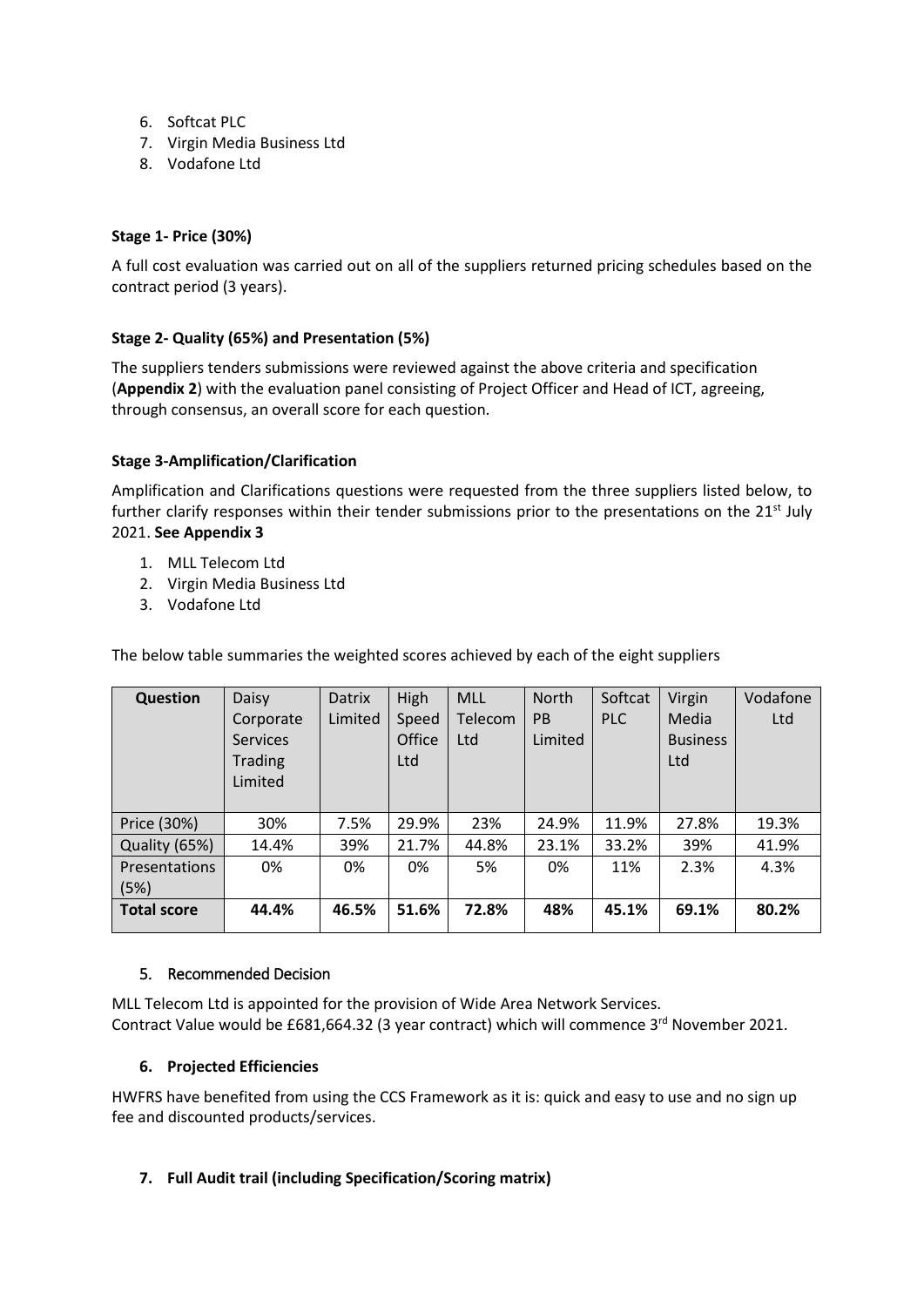- 6. Softcat PLC
- 7. Virgin Media Business Ltd
- 8. Vodafone Ltd

# **Stage 1- Price (30%)**

A full cost evaluation was carried out on all of the suppliers returned pricing schedules based on the contract period (3 years).

# **Stage 2- Quality (65%) and Presentation (5%)**

The suppliers tenders submissions were reviewed against the above criteria and specification (**Appendix 2**) with the evaluation panel consisting of Project Officer and Head of ICT, agreeing, through consensus, an overall score for each question.

## **Stage 3-Amplification/Clarification**

Amplification and Clarifications questions were requested from the three suppliers listed below, to further clarify responses within their tender submissions prior to the presentations on the 21<sup>st</sup> July 2021. **See Appendix 3**

- 1. MLL Telecom Ltd
- 2. Virgin Media Business Ltd
- 3. Vodafone Ltd

The below table summaries the weighted scores achieved by each of the eight suppliers

| <b>Question</b>    | Daisy           | Datrix  | High   | <b>MLL</b> | <b>North</b>   | Softcat    | Virgin          | Vodafone |
|--------------------|-----------------|---------|--------|------------|----------------|------------|-----------------|----------|
|                    | Corporate       | Limited | Speed  | Telecom    | P <sub>B</sub> | <b>PLC</b> | Media           | Ltd      |
|                    | <b>Services</b> |         | Office | Ltd        | Limited        |            | <b>Business</b> |          |
|                    | <b>Trading</b>  |         | Ltd    |            |                |            | Ltd             |          |
|                    | Limited         |         |        |            |                |            |                 |          |
|                    |                 |         |        |            |                |            |                 |          |
| Price (30%)        | 30%             | 7.5%    | 29.9%  | 23%        | 24.9%          | 11.9%      | 27.8%           | 19.3%    |
| Quality (65%)      | 14.4%           | 39%     | 21.7%  | 44.8%      | 23.1%          | 33.2%      | 39%             | 41.9%    |
| Presentations      | 0%              | 0%      | 0%     | 5%         | 0%             | 11%        | 2.3%            | 4.3%     |
| (5%)               |                 |         |        |            |                |            |                 |          |
| <b>Total score</b> | 44.4%           | 46.5%   | 51.6%  | 72.8%      | 48%            | 45.1%      | 69.1%           | 80.2%    |

## 5. Recommended Decision

MLL Telecom Ltd is appointed for the provision of Wide Area Network Services. Contract Value would be £681,664.32 (3 year contract) which will commence 3<sup>rd</sup> November 2021.

## **6. Projected Efficiencies**

HWFRS have benefited from using the CCS Framework as it is: quick and easy to use and no sign up fee and discounted products/services.

# **7. Full Audit trail (including Specification/Scoring matrix)**